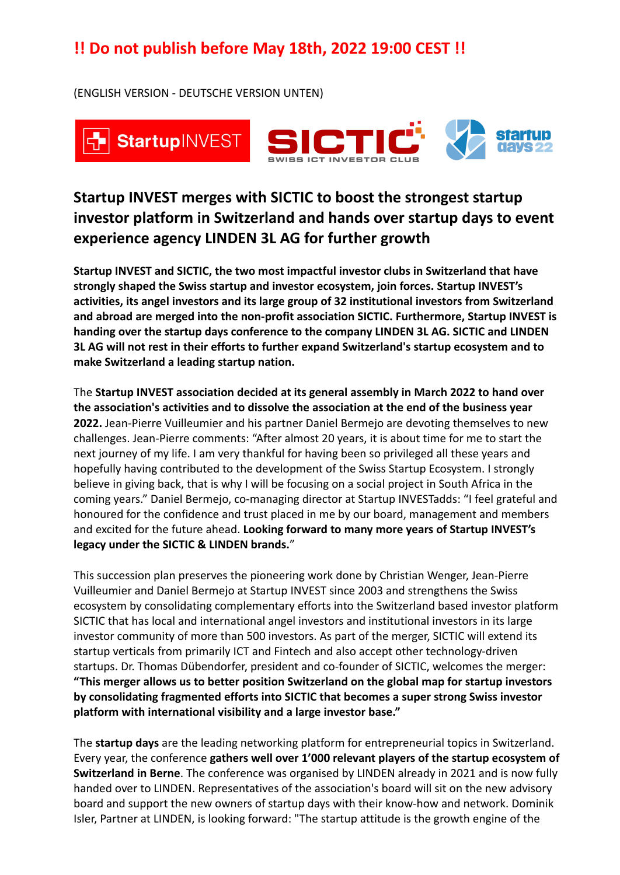(ENGLISH VERSION - DEUTSCHE VERSION UNTEN)



## **Startup INVEST merges with SICTIC to boost the strongest startup investor platform in Switzerland and hands over startup days to event experience agency LINDEN 3L AG for further growth**

**Startup INVEST and SICTIC, the two most impactful investor clubs in Switzerland that have strongly shaped the Swiss startup and investor ecosystem, join forces. Startup INVEST's activities, its angel investors and its large group of 32 institutional investors from Switzerland and abroad are merged into the non-profit association SICTIC. Furthermore, Startup INVEST is handing over the startup days conference to the company LINDEN 3L AG. SICTIC and LINDEN 3L AG will not rest in their efforts to further expand Switzerland's startup ecosystem and to make Switzerland a leading startup nation.**

The **Startup INVEST association decided at its general assembly in March 2022 to hand over the association's activities and to dissolve the association at the end of the business year 2022.** Jean-Pierre Vuilleumier and his partner Daniel Bermejo are devoting themselves to new challenges. Jean-Pierre comments: "After almost 20 years, it is about time for me to start the next journey of my life. I am very thankful for having been so privileged all these years and hopefully having contributed to the development of the Swiss Startup Ecosystem. I strongly believe in giving back, that is why I will be focusing on a social project in South Africa in the coming years." Daniel Bermejo, co-managing director at Startup INVESTadds: "I feel grateful and honoured for the confidence and trust placed in me by our board, management and members and excited for the future ahead. **Looking forward to many more years of Startup INVEST's legacy under the SICTIC & LINDEN brands.**"

This succession plan preserves the pioneering work done by Christian Wenger, Jean-Pierre Vuilleumier and Daniel Bermejo at Startup INVEST since 2003 and strengthens the Swiss ecosystem by consolidating complementary efforts into the Switzerland based investor platform SICTIC that has local and international angel investors and institutional investors in its large investor community of more than 500 investors. As part of the merger, SICTIC will extend its startup verticals from primarily ICT and Fintech and also accept other technology-driven startups. Dr. Thomas Dübendorfer, president and co-founder of SICTIC, welcomes the merger: **"This merger allows us to better position Switzerland on the global map for startup investors by consolidating fragmented efforts into SICTIC that becomes a super strong Swiss investor platform with international visibility and a large investor base."**

The **startup days** are the leading networking platform for entrepreneurial topics in Switzerland. Every year, the conference **gathers well over 1'000 relevant players of the startup ecosystem of Switzerland in Berne**. The conference was organised by LINDEN already in 2021 and is now fully handed over to LINDEN. Representatives of the association's board will sit on the new advisory board and support the new owners of startup days with their know-how and network. Dominik Isler, Partner at LINDEN, is looking forward: "The startup attitude is the growth engine of the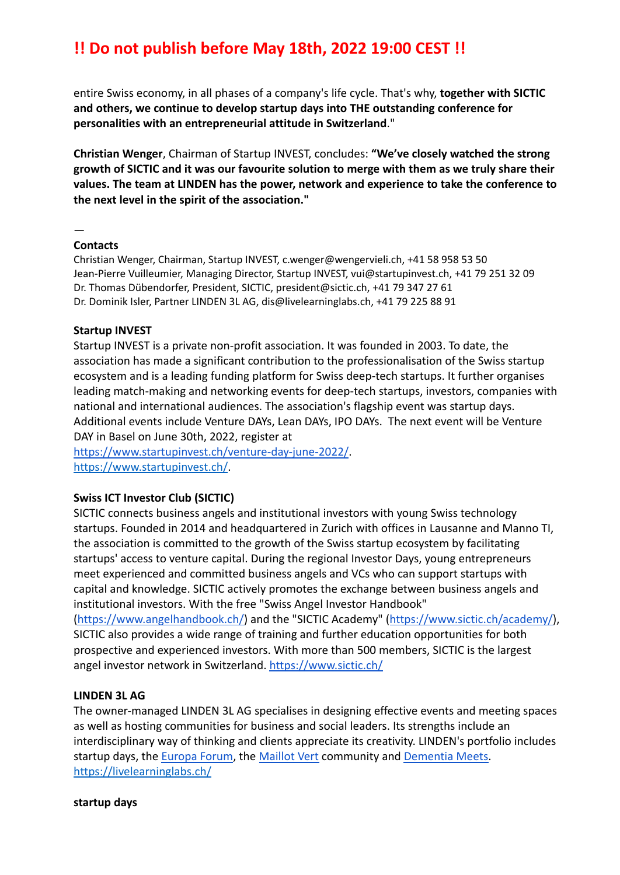entire Swiss economy, in all phases of a company's life cycle. That's why, **together with SICTIC and others, we continue to develop startup days into THE outstanding conference for personalities with an entrepreneurial attitude in Switzerland**."

**Christian Wenger**, Chairman of Startup INVEST, concludes: **"We've closely watched the strong growth of SICTIC and it was our favourite solution to merge with them as we truly share their values. The team at LINDEN has the power, network and experience to take the conference to the next level in the spirit of the association."**

—

### **Contacts**

Christian Wenger, Chairman, Startup INVEST, [c.wenger@wengervieli.ch,](mailto:c.wenger@wengervieli.ch) +41 58 958 53 50 Jean-Pierre Vuilleumier, Managing Director, Startup INVEST, [vui@startupinvest.ch](mailto:vui@startupinvest.ch), +41 79 251 32 09 Dr. Thomas Dübendorfer, President, SICTIC, [president@sictic.ch](mailto:president@sictic.ch), +41 79 347 27 61 Dr. Dominik Isler, Partner LINDEN 3L AG, dis@livelearninglabs.ch, +41 79 225 88 91

### **Startup INVEST**

Startup INVEST is a private non-profit association. It was founded in 2003. To date, the association has made a significant contribution to the professionalisation of the Swiss startup ecosystem and is a leading funding platform for Swiss deep-tech startups. It further organises leading match-making and networking events for deep-tech startups, investors, companies with national and international audiences. The association's flagship event was startup days. Additional events include Venture DAYs, Lean DAYs, IPO DAYs. The next event will be Venture DAY in Basel on June 30th, 2022, register at

<https://www.startupinvest.ch/venture-day-june-2022/>. <https://www.startupinvest.ch/>.

## **Swiss ICT Investor Club (SICTIC)**

SICTIC connects business angels and institutional investors with young Swiss technology startups. Founded in 2014 and headquartered in Zurich with offices in Lausanne and Manno TI, the association is committed to the growth of the Swiss startup ecosystem by facilitating startups' access to venture capital. During the regional Investor Days, young entrepreneurs meet experienced and committed business angels and VCs who can support startups with capital and knowledge. SICTIC actively promotes the exchange between business angels and institutional investors. With the free "Swiss Angel Investor Handbook"

[\(https://www.angelhandbook.ch/\)](https://www.angelhandbook.ch/) and the "SICTIC Academy" ([https://www.sictic.ch/academy/\)](https://www.sictic.ch/academy/), SICTIC also provides a wide range of training and further education opportunities for both prospective and experienced investors. With more than 500 members, SICTIC is the largest angel investor network in Switzerland. <https://www.sictic.ch/>

### **LINDEN 3L AG**

The owner-managed LINDEN 3L AG specialises in designing effective events and meeting spaces as well as hosting communities for business and social leaders. Its strengths include an interdisciplinary way of thinking and clients appreciate its creativity. LINDEN's portfolio includes startup days, the [Europa Forum](https://www.europaforum.ch/), the [Maillot Vert](https://maillot-vert.ch/) community and [Dementia Meets.](https://www.demenzmeet.ch/) <https://livelearninglabs.ch/>

**startup days**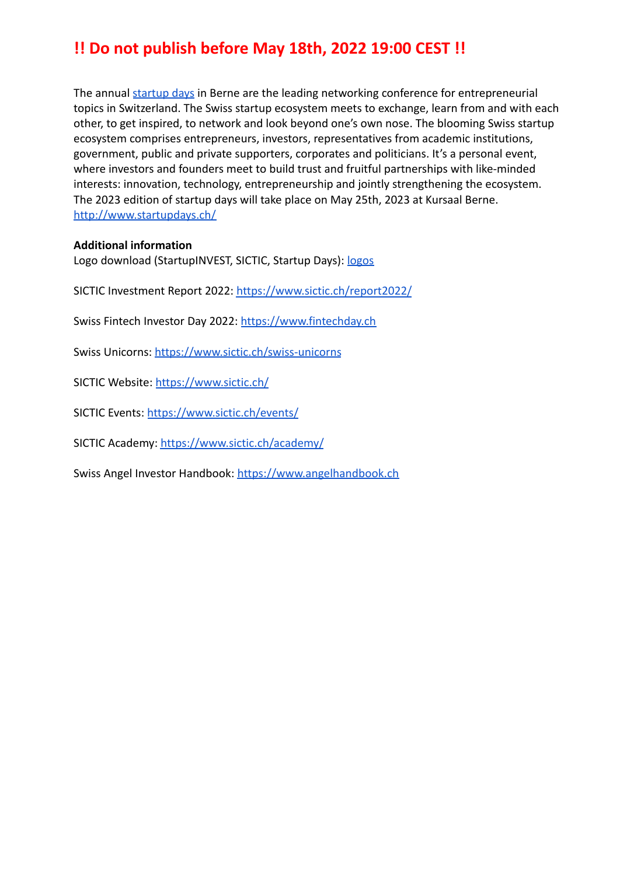The annual [startup days](http://www.startupdays.ch) in Berne are the leading networking conference for entrepreneurial topics in Switzerland. The Swiss startup ecosystem meets to exchange, learn from and with each other, to get inspired, to network and look beyond one's own nose. The blooming Swiss startup ecosystem comprises entrepreneurs, investors, representatives from academic institutions, government, public and private supporters, corporates and politicians. It's a personal event, where investors and founders meet to build trust and fruitful partnerships with like-minded interests: innovation, technology, entrepreneurship and jointly strengthening the ecosystem. The 2023 edition of startup days will take place on May 25th, 2023 at Kursaal Berne. <http://www.startupdays.ch/>

### **Additional information**

Logo download (StartupINVEST, SICTIC, Startup Days): [logos](https://drive.google.com/drive/folders/1mUkYLOYVEWgJ7BWPvSWaowwYvg2SNEm0?usp=sharing)

SICTIC Investment Report 2022: <https://www.sictic.ch/report2022/>

Swiss Fintech Investor Day 2022: <https://www.fintechday.ch>

Swiss Unicorns: <https://www.sictic.ch/swiss-unicorns>

SICTIC Website: <https://www.sictic.ch/>

SICTIC Events: <https://www.sictic.ch/events/>

SICTIC Academy: <https://www.sictic.ch/academy/>

Swiss Angel Investor Handbook: <https://www.angelhandbook.ch>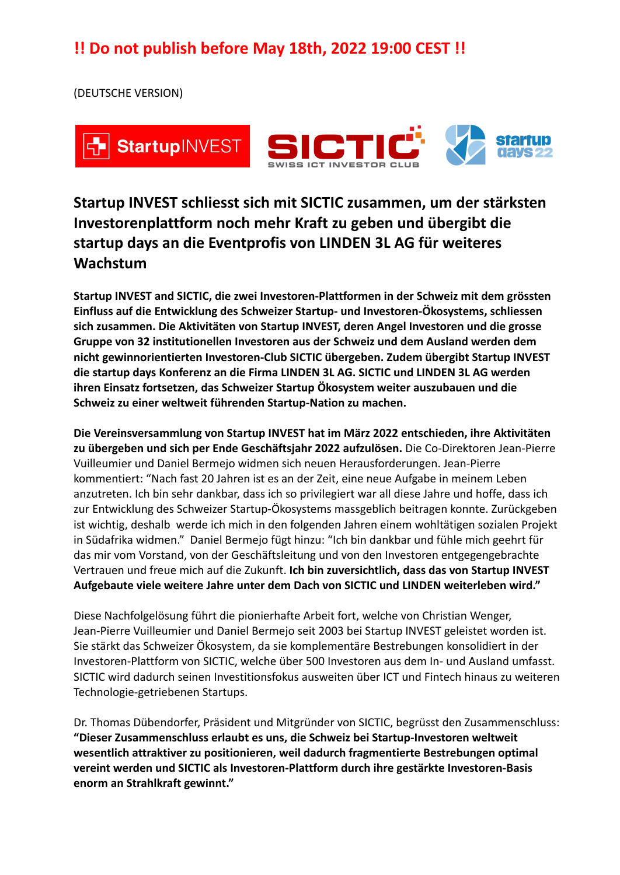(DEUTSCHE VERSION)



## **Startup INVEST schliesst sich mit SICTIC zusammen, um der stärksten Investorenplattform noch mehr Kraft zu geben und übergibt die startup days an die Eventprofis von LINDEN 3L AG für weiteres Wachstum**

**Startup INVEST and SICTIC, die zwei Investoren-Plattformen in der Schweiz mit dem grössten Einfluss auf die Entwicklung des Schweizer Startup- und Investoren-Ökosystems, schliessen sich zusammen. Die Aktivitäten von Startup INVEST, deren Angel Investoren und die grosse Gruppe von 32 institutionellen Investoren aus der Schweiz und dem Ausland werden dem nicht gewinnorientierten Investoren-Club SICTIC übergeben. Zudem übergibt Startup INVEST die startup days Konferenz an die Firma LINDEN 3L AG. SICTIC und LINDEN 3L AG werden ihren Einsatz fortsetzen, das Schweizer Startup Ökosystem weiter auszubauen und die Schweiz zu einer weltweit führenden Startup-Nation zu machen.**

**Die Vereinsversammlung von Startup INVEST hat im März 2022 entschieden, ihre Aktivitäten zu übergeben und sich per Ende Geschäftsjahr 2022 aufzulösen.** Die Co-Direktoren Jean-Pierre Vuilleumier und Daniel Bermejo widmen sich neuen Herausforderungen. Jean-Pierre kommentiert: "Nach fast 20 Jahren ist es an der Zeit, eine neue Aufgabe in meinem Leben anzutreten. Ich bin sehr dankbar, dass ich so privilegiert war all diese Jahre und hoffe, dass ich zur Entwicklung des Schweizer Startup-Ökosystems massgeblich beitragen konnte. Zurückgeben ist wichtig, deshalb werde ich mich in den folgenden Jahren einem wohltätigen sozialen Projekt in Südafrika widmen." Daniel Bermejo fügt hinzu: "Ich bin dankbar und fühle mich geehrt für das mir vom Vorstand, von der Geschäftsleitung und von den Investoren entgegengebrachte Vertrauen und freue mich auf die Zukunft. **Ich bin zuversichtlich, dass das von Startup INVEST Aufgebaute viele weitere Jahre unter dem Dach von SICTIC und LINDEN weiterleben wird."**

Diese Nachfolgelösung führt die pionierhafte Arbeit fort, welche von Christian Wenger, Jean-Pierre Vuilleumier und Daniel Bermejo seit 2003 bei Startup INVEST geleistet worden ist. Sie stärkt das Schweizer Ökosystem, da sie komplementäre Bestrebungen konsolidiert in der Investoren-Plattform von SICTIC, welche über 500 Investoren aus dem In- und Ausland umfasst. SICTIC wird dadurch seinen Investitionsfokus ausweiten über ICT und Fintech hinaus zu weiteren Technologie-getriebenen Startups.

Dr. Thomas Dübendorfer, Präsident und Mitgründer von SICTIC, begrüsst den Zusammenschluss: **"Dieser Zusammenschluss erlaubt es uns, die Schweiz bei Startup-Investoren weltweit wesentlich attraktiver zu positionieren, weil dadurch fragmentierte Bestrebungen optimal vereint werden und SICTIC als Investoren-Plattform durch ihre gestärkte Investoren-Basis enorm an Strahlkraft gewinnt."**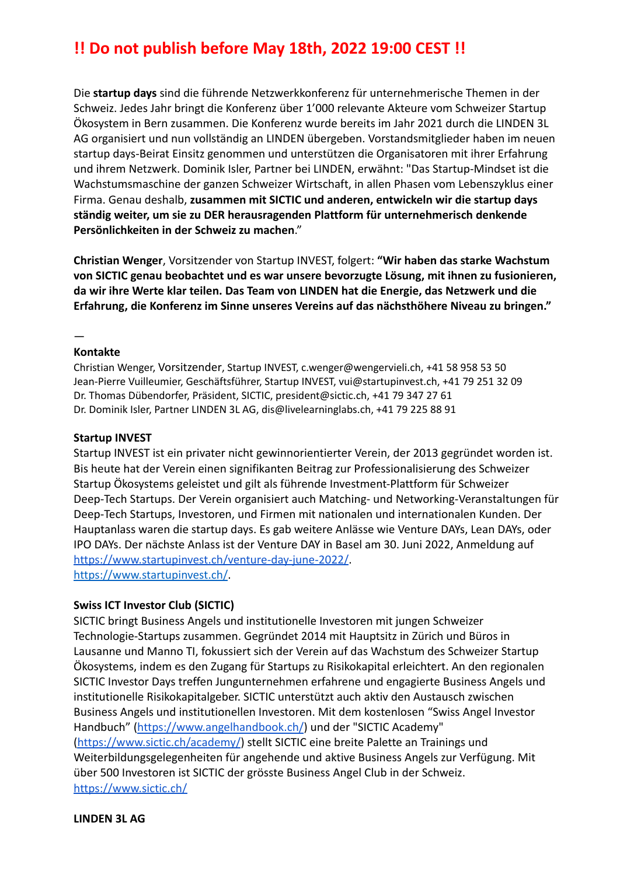Die **startup days** sind die führende Netzwerkkonferenz für unternehmerische Themen in der Schweiz. Jedes Jahr bringt die Konferenz über 1'000 relevante Akteure vom Schweizer Startup Ökosystem in Bern zusammen. Die Konferenz wurde bereits im Jahr 2021 durch die LINDEN 3L AG organisiert und nun vollständig an LINDEN übergeben. Vorstandsmitglieder haben im neuen startup days-Beirat Einsitz genommen und unterstützen die Organisatoren mit ihrer Erfahrung und ihrem Netzwerk. Dominik Isler, Partner bei LINDEN, erwähnt: "Das Startup-Mindset ist die Wachstumsmaschine der ganzen Schweizer Wirtschaft, in allen Phasen vom Lebenszyklus einer Firma. Genau deshalb, **zusammen mit SICTIC und anderen, entwickeln wir die startup days ständig weiter, um sie zu DER herausragenden Plattform für unternehmerisch denkende Persönlichkeiten in der Schweiz zu machen**."

**Christian Wenger**, Vorsitzender von Startup INVEST, folgert: **"Wir haben das starke Wachstum von SICTIC genau beobachtet und es war unsere bevorzugte Lösung, mit ihnen zu fusionieren, da wir ihre Werte klar teilen. Das Team von LINDEN hat die Energie, das Netzwerk und die Erfahrung, die Konferenz im Sinne unseres Vereins auf das nächsthöhere Niveau zu bringen."**

#### —

#### **Kontakte**

Christian Wenger, Vorsitzender, Startup INVEST, [c.wenger@wengervieli.ch,](mailto:c.wenger@wengervieli.ch) +41 58 958 53 50 Jean-Pierre Vuilleumier, Geschäftsführer, Startup INVEST, [vui@startupinvest.ch](mailto:vui@startupinvest.ch), +41 79 251 32 09 Dr. Thomas Dübendorfer, Präsident, SICTIC, [president@sictic.ch,](mailto:president@sictic.ch) +41 79 347 27 61 Dr. Dominik Isler, Partner LINDEN 3L AG, dis@livelearninglabs.ch, +41 79 225 88 91

#### **Startup INVEST**

Startup INVEST ist ein privater nicht gewinnorientierter Verein, der 2013 gegründet worden ist. Bis heute hat der Verein einen signifikanten Beitrag zur Professionalisierung des Schweizer Startup Ökosystems geleistet und gilt als führende Investment-Plattform für Schweizer Deep-Tech Startups. Der Verein organisiert auch Matching- und Networking-Veranstaltungen für Deep-Tech Startups, Investoren, und Firmen mit nationalen und internationalen Kunden. Der Hauptanlass waren die startup days. Es gab weitere Anlässe wie Venture DAYs, Lean DAYs, oder IPO DAYs. Der nächste Anlass ist der Venture DAY in Basel am 30. Juni 2022, Anmeldung auf <https://www.startupinvest.ch/venture-day-june-2022/>. <https://www.startupinvest.ch/>.

### **Swiss ICT Investor Club (SICTIC)**

SICTIC bringt Business Angels und institutionelle Investoren mit jungen Schweizer Technologie-Startups zusammen. Gegründet 2014 mit Hauptsitz in Zürich und Büros in Lausanne und Manno TI, fokussiert sich der Verein auf das Wachstum des Schweizer Startup Ökosystems, indem es den Zugang für Startups zu Risikokapital erleichtert. An den regionalen SICTIC Investor Days treffen Jungunternehmen erfahrene und engagierte Business Angels und institutionelle Risikokapitalgeber. SICTIC unterstützt auch aktiv den Austausch zwischen Business Angels und institutionellen Investoren. Mit dem kostenlosen "Swiss Angel Investor Handbuch" [\(https://www.angelhandbook.ch/](https://www.angelhandbook.ch/)) und der "SICTIC Academy" [\(https://www.sictic.ch/academy/](https://www.sictic.ch/academy/)) stellt SICTIC eine breite Palette an Trainings und Weiterbildungsgelegenheiten für angehende und aktive Business Angels zur Verfügung. Mit über 500 Investoren ist SICTIC der grösste Business Angel Club in der Schweiz. <https://www.sictic.ch/>